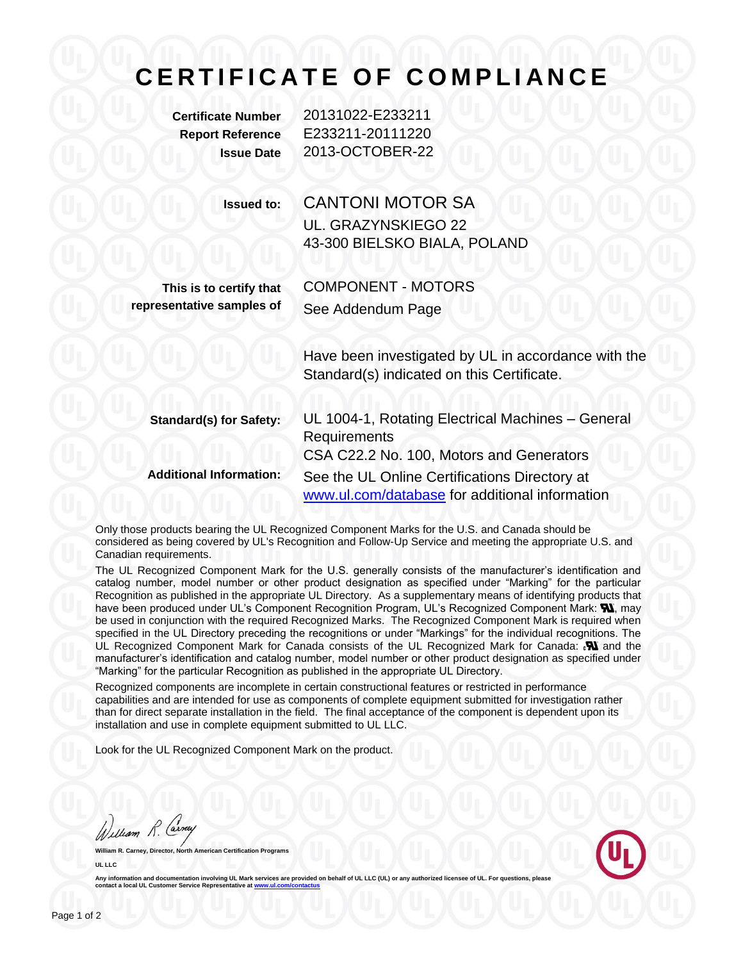## **C E R T I F I C A T E O F C O M P L I A N C E**

**Certificate Number** 20131022-E233211 **Report Reference** E233211-20111220 **Issue Date** 2013-OCTOBER-22

**Issued to:** CANTONI MOTOR SA UL. GRAZYNSKIEGO 22 43-300 BIELSKO BIALA, POLAND

**This is to certify that representative samples of**

COMPONENT - MOTORS See Addendum Page

Have been investigated by UL in accordance with the Standard(s) indicated on this Certificate.

| <b>Standard(s) for Safety:</b> | UL 1004-1, Rotating Electrical Machines - General |
|--------------------------------|---------------------------------------------------|
|                                | <b>Requirements</b>                               |
|                                | CSA C22.2 No. 100, Motors and Generators          |
| <b>Additional Information:</b> | See the UL Online Certifications Directory at     |
|                                | www.ul.com/database for additional information    |

Only those products bearing the UL Recognized Component Marks for the U.S. and Canada should be considered as being covered by UL's Recognition and Follow-Up Service and meeting the appropriate U.S. and Canadian requirements.

The UL Recognized Component Mark for the U.S. generally consists of the manufacturer's identification and catalog number, model number or other product designation as specified under "Marking" for the particular Recognition as published in the appropriate UL Directory. As a supplementary means of identifying products that have been produced under UL's Component Recognition Program, UL's Recognized Component Mark: **W**, may be used in conjunction with the required Recognized Marks. The Recognized Component Mark is required when specified in the UL Directory preceding the recognitions or under "Markings" for the individual recognitions. The UL Recognized Component Mark for Canada consists of the UL Recognized Mark for Canada:  $\mathbf{N}$  and the manufacturer's identification and catalog number, model number or other product designation as specified under "Marking" for the particular Recognition as published in the appropriate UL Directory.

Recognized components are incomplete in certain constructional features or restricted in performance capabilities and are intended for use as components of complete equipment submitted for investigation rather than for direct separate installation in the field. The final acceptance of the component is dependent upon its installation and use in complete equipment submitted to UL LLC.

Look for the UL Recognized Component Mark on the product.

William R. Carney

**William R. Carney, Director, North American Certification Programs UL LLC**



Any information and documentation involving UL Mark services are provided on behalf of UL LLC (UL) or any authorized licensee of UL<br>contact a local UL Customer Service Representative at www.ul.com/contactus contact a local UL Customer Service Represe